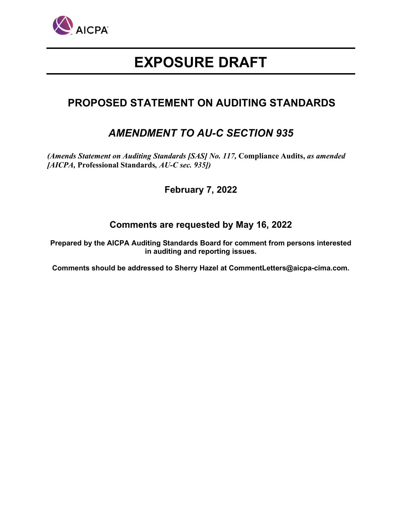

# **EXPOSURE DRAFT**

## **PROPOSED STATEMENT ON AUDITING STANDARDS**

## *AMENDMENT TO AU-C SECTION 935*

*(Amends Statement on Auditing Standards [SAS] No. 117,* **Compliance Audits,** *as amended [AICPA,* **Professional Standards***, AU-C sec. 935])*

## **February 7, 2022**

## **Comments are requested by May 16, 2022**

**Prepared by the AICPA Auditing Standards Board for comment from persons interested in auditing and reporting issues.** 

**Comments should be addressed to Sherry Hazel at CommentLetters@aicpa-cima.com.**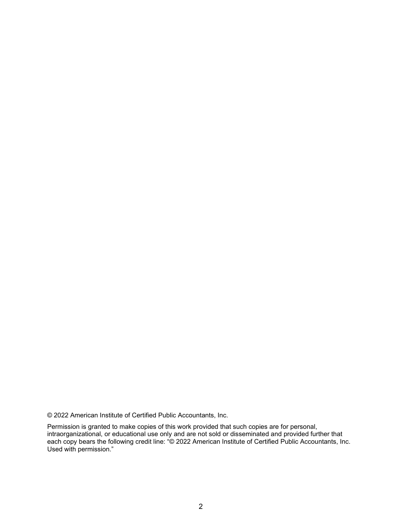© 2022 American Institute of Certified Public Accountants, Inc.

Permission is granted to make copies of this work provided that such copies are for personal, intraorganizational, or educational use only and are not sold or disseminated and provided further that each copy bears the following credit line: "© 2022 American Institute of Certified Public Accountants, Inc. Used with permission."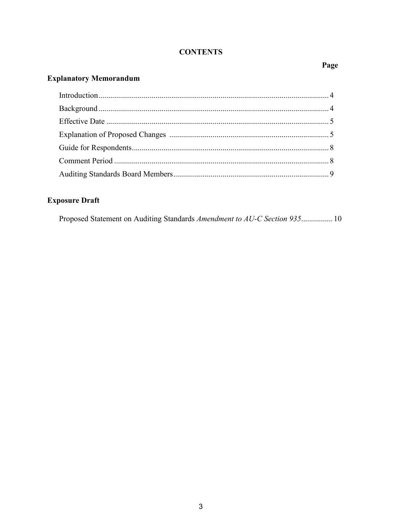### **CONTENTS**

## Page

## **Explanatory Memorandum**

## **Exposure Draft**

|  |  | Proposed Statement on Auditing Standards Amendment to AU-C Section 935 10 |  |  |  |  |  |  |  |
|--|--|---------------------------------------------------------------------------|--|--|--|--|--|--|--|
|--|--|---------------------------------------------------------------------------|--|--|--|--|--|--|--|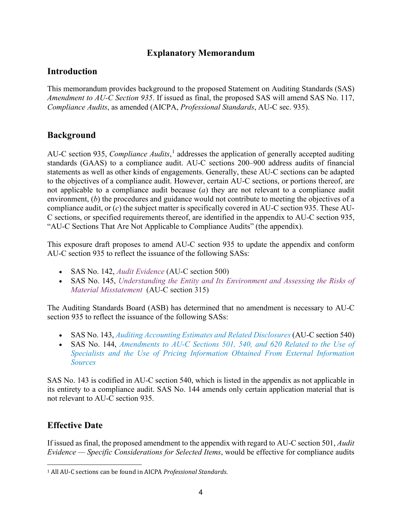## **Explanatory Memorandum**

## **Introduction**

This memorandum provides background to the proposed Statement on Auditing Standards (SAS) *Amendment to AU-C Section 935*. If issued as final, the proposed SAS will amend SAS No. 117, *Compliance Audits*, as amended (AICPA, *Professional Standards*, AU-C sec. 935).

## **Background**

AU-C section 935, *Compliance Audits*, [1](#page-3-0) addresses the application of generally accepted auditing standards (GAAS) to a compliance audit. AU-C sections 200–900 address audits of financial statements as well as other kinds of engagements. Generally, these AU-C sections can be adapted to the objectives of a compliance audit. However, certain AU-C sections, or portions thereof, are not applicable to a compliance audit because (*a*) they are not relevant to a compliance audit environment, (*b*) the procedures and guidance would not contribute to meeting the objectives of a compliance audit, or (*c*) the subject matter is specifically covered in AU-C section 935. These AU-C sections, or specified requirements thereof, are identified in the appendix to AU-C section 935, "AU-C Sections That Are Not Applicable to Compliance Audits" (the appendix).

This exposure draft proposes to amend AU-C section 935 to update the appendix and conform AU-C section 935 to reflect the issuance of the following SASs:

- SAS No. 142, *[Audit Evidence](https://us.aicpa.org/interestareas/frc/auditattest/auditing-standards-information-and-resources#auditevidence)* (AU-C section 500)
- SAS No. 145, *[Understanding the Entity and Its Environment and Assessing the Risks of](https://us.aicpa.org/interestareas/frc/auditattest/auditing-standards-information-and-resources#ssae145)  [Material Misstatement](https://us.aicpa.org/interestareas/frc/auditattest/auditing-standards-information-and-resources#ssae145)* (AU-C section 315)

The Auditing Standards Board (ASB) has determined that no amendment is necessary to AU-C section 935 to reflect the issuance of the following SASs:

- SAS No. 143, *[Auditing Accounting Estimates and Related Disclosures](https://us.aicpa.org/interestareas/frc/auditattest/auditing-standards-information-and-resources#auditingaccounting)* (AU-C section 540)
- SAS No. 144, *Amendments to AU-C Sections 501, 540, and 620 Related to the Use of [Specialists and the Use of Pricing Information Obtained From External Information](https://us.aicpa.org/interestareas/frc/auditattest/auditing-standards-information-and-resources#ssae144)  [Sources](https://us.aicpa.org/interestareas/frc/auditattest/auditing-standards-information-and-resources#ssae144)*

SAS No. 143 is codified in AU-C section 540, which is listed in the appendix as not applicable in its entirety to a compliance audit. SAS No. 144 amends only certain application material that is not relevant to AU-C section 935.

## **Effective Date**

If issued as final, the proposed amendment to the appendix with regard to AU-C section 501, *Audit Evidence — Specific Considerations for Selected Items*, would be effective for compliance audits

<span id="page-3-0"></span><sup>1</sup> All AU-C sections can be found in AICPA *Professional Standards*.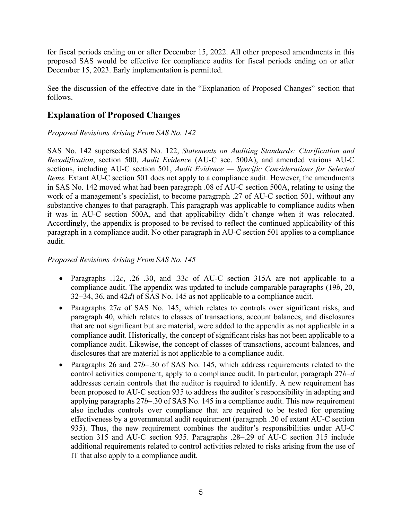for fiscal periods ending on or after December 15, 2022. All other proposed amendments in this proposed SAS would be effective for compliance audits for fiscal periods ending on or after December 15, 2023. Early implementation is permitted.

See the discussion of the effective date in the "Explanation of Proposed Changes" section that follows.

## **Explanation of Proposed Changes**

### *Proposed Revisions Arising From SAS No. 142*

SAS No. 142 superseded SAS No. 122, *Statements on Auditing Standards: Clarification and Recodification*, section 500, *Audit Evidence* (AU-C sec. 500A), and amended various AU-C sections, including AU-C section 501, *Audit Evidence — Specific Considerations for Selected Items.* Extant AU-C section 501 does not apply to a compliance audit. However, the amendments in SAS No. 142 moved what had been paragraph .08 of AU-C section 500A, relating to using the work of a management's specialist, to become paragraph .27 of AU-C section 501, without any substantive changes to that paragraph. This paragraph was applicable to compliance audits when it was in AU-C section 500A, and that applicability didn't change when it was relocated. Accordingly, the appendix is proposed to be revised to reflect the continued applicability of this paragraph in a compliance audit. No other paragraph in AU-C section 501 applies to a compliance audit.

### *Proposed Revisions Arising From SAS No. 145*

- Paragraphs .12*c*, .26–.30, and .33*c* of AU-C section 315A are not applicable to a compliance audit. The appendix was updated to include comparable paragraphs (19*b*, 20, 32−34, 36, and 42*d*) of SAS No. 145 as not applicable to a compliance audit.
- Paragraphs 27*a* of SAS No. 145, which relates to controls over significant risks, and paragraph 40, which relates to classes of transactions, account balances, and disclosures that are not significant but are material, were added to the appendix as not applicable in a compliance audit. Historically, the concept of significant risks has not been applicable to a compliance audit. Likewise, the concept of classes of transactions, account balances, and disclosures that are material is not applicable to a compliance audit.
- Paragraphs 26 and 27*b*–.30 of SAS No. 145, which address requirements related to the control activities component, apply to a compliance audit. In particular, paragraph 27*b–d* addresses certain controls that the auditor is required to identify. A new requirement has been proposed to AU-C section 935 to address the auditor's responsibility in adapting and applying paragraphs 27*b*–.30 of SAS No. 145 in a compliance audit. This new requirement also includes controls over compliance that are required to be tested for operating effectiveness by a governmental audit requirement (paragraph .20 of extant AU-C section 935). Thus, the new requirement combines the auditor's responsibilities under AU-C section 315 and AU-C section 935. Paragraphs .28–.29 of AU-C section 315 include additional requirements related to control activities related to risks arising from the use of IT that also apply to a compliance audit.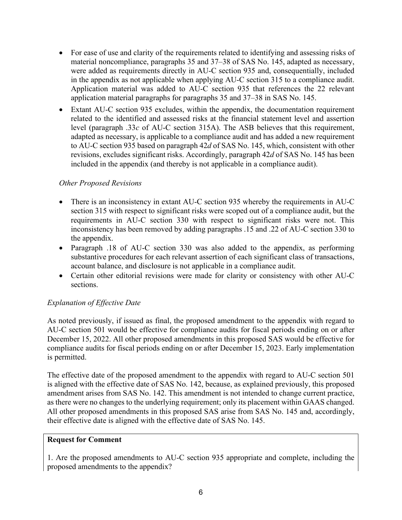- For ease of use and clarity of the requirements related to identifying and assessing risks of material noncompliance, paragraphs 35 and 37–38 of SAS No. 145, adapted as necessary, were added as requirements directly in AU-C section 935 and, consequentially, included in the appendix as not applicable when applying AU-C section 315 to a compliance audit. Application material was added to AU-C section 935 that references the 22 relevant application material paragraphs for paragraphs 35 and 37–38 in SAS No. 145.
- Extant AU-C section 935 excludes, within the appendix, the documentation requirement related to the identified and assessed risks at the financial statement level and assertion level (paragraph .33*c* of AU-C section 315A). The ASB believes that this requirement, adapted as necessary, is applicable to a compliance audit and has added a new requirement to AU-C section 935 based on paragraph 42*d* of SAS No. 145, which, consistent with other revisions, excludes significant risks. Accordingly, paragraph 42*d* of SAS No. 145 has been included in the appendix (and thereby is not applicable in a compliance audit).

### *Other Proposed Revisions*

- There is an inconsistency in extant AU-C section 935 whereby the requirements in AU-C section 315 with respect to significant risks were scoped out of a compliance audit, but the requirements in AU-C section 330 with respect to significant risks were not. This inconsistency has been removed by adding paragraphs .15 and .22 of AU-C section 330 to the appendix.
- Paragraph .18 of AU-C section 330 was also added to the appendix, as performing substantive procedures for each relevant assertion of each significant class of transactions, account balance, and disclosure is not applicable in a compliance audit.
- Certain other editorial revisions were made for clarity or consistency with other AU-C sections.

### *Explanation of Effective Date*

As noted previously, if issued as final, the proposed amendment to the appendix with regard to AU-C section 501 would be effective for compliance audits for fiscal periods ending on or after December 15, 2022. All other proposed amendments in this proposed SAS would be effective for compliance audits for fiscal periods ending on or after December 15, 2023. Early implementation is permitted.

The effective date of the proposed amendment to the appendix with regard to AU-C section 501 is aligned with the effective date of SAS No. 142, because, as explained previously, this proposed amendment arises from SAS No. 142. This amendment is not intended to change current practice, as there were no changes to the underlying requirement; only its placement within GAAS changed. All other proposed amendments in this proposed SAS arise from SAS No. 145 and, accordingly, their effective date is aligned with the effective date of SAS No. 145.

### **Request for Comment**

1. Are the proposed amendments to AU-C section 935 appropriate and complete, including the proposed amendments to the appendix?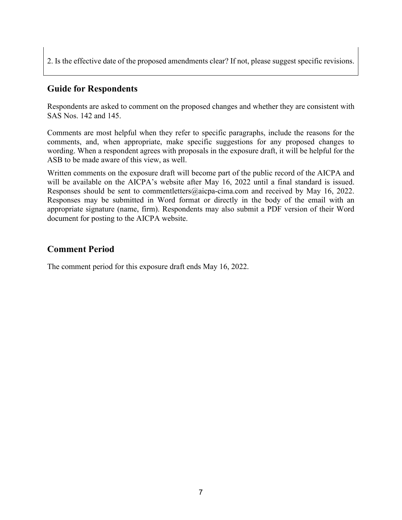2. Is the effective date of the proposed amendments clear? If not, please suggest specific revisions.

## **Guide for Respondents**

Respondents are asked to comment on the proposed changes and whether they are consistent with SAS Nos. 142 and 145.

Comments are most helpful when they refer to specific paragraphs, include the reasons for the comments, and, when appropriate, make specific suggestions for any proposed changes to wording. When a respondent agrees with proposals in the exposure draft, it will be helpful for the ASB to be made aware of this view, as well.

Written comments on the exposure draft will become part of the public record of the AICPA and will be available on the AICPA's website after May 16, 2022 until a final standard is issued. Responses should be sent to commentletters@aicpa-cima.com and received by May 16, 2022. Responses may be submitted in Word format or directly in the body of the email with an appropriate signature (name, firm). Respondents may also submit a PDF version of their Word document for posting to the AICPA website.

## **Comment Period**

The comment period for this exposure draft ends May 16, 2022.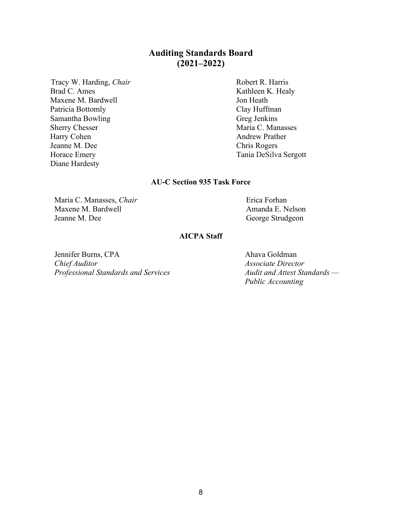## **Auditing Standards Board (2021–2022)**

Tracy W. Harding, *Chair* R. Harris Robert R. Harris Brad C. Ames Kathleen K. Healy Maxene M. Bardwell Jon Heath Patricia Bottomly Clay Huffman Samantha Bowling Greg Jenkins Sherry Chesser Maria C. Manasses Harry Cohen **Andrew Prather** Jeanne M. Dee Chris Rogers Horace Emery Tania DeSilva Sergott Diane Hardesty

### **AU-C Section 935 Task Force**

Maria C. Manasses, *Chair* Maxene M. Bardwell Jeanne M. Dee

Erica Forhan Amanda E. Nelson George Strudgeon

#### **AICPA Staff**

Jennifer Burns, CPA *Chief Auditor Professional Standards and Services*

Ahava Goldman *Associate Director Audit and Attest Standards — Public Accounting*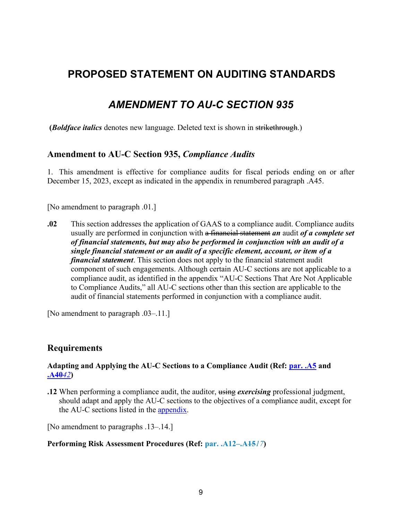## **PROPOSED STATEMENT ON AUDITING STANDARDS**

## *AMENDMENT TO AU-C SECTION 935*

**(***Boldface italics* denotes new language. Deleted text is shown in strikethrough.)

### **Amendment to AU-C Section 935,** *Compliance Audits*

1. This amendment is effective for compliance audits for fiscal periods ending on or after December 15, 2023, except as indicated in the appendix in renumbered paragraph .A45.

[No amendment to paragraph .01.]

**.02** This section addresses the application of GAAS to a compliance audit. Compliance audits usually are performed in conjunction with a financial statement *an* audit *of a complete set of financial statements, but may also be performed in conjunction with an audit of a single financial statement or an audit of a specific element, account, or item of a financial statement*. This section does not apply to the financial statement audit component of such engagements. Although certain AU-C sections are not applicable to a compliance audit, as identified in the [appendix](#page-13-0) "AU-C Sections That Are Not Applicable to Compliance Audits," all AU-C sections other than this section are applicable to the audit of financial statements performed in conjunction with a compliance audit.

[No amendment to paragraph .03–.11.]

### **Requirements**

### **Adapting and Applying the AU-C Sections to a Compliance Audit (Ref: par. .A5 and .A40***42***)**

**.12** When performing a compliance audit, the auditor, using *exercising* professional judgment, should adapt and apply the AU-C sections to the objectives of a compliance audit, except for the AU-C sections listed in the [appendix.](#page-13-0)

[No amendment to paragraphs .13–.14.]

#### **Performing Risk Assessment Procedures (Ref: par. .A12–.A15***17***)**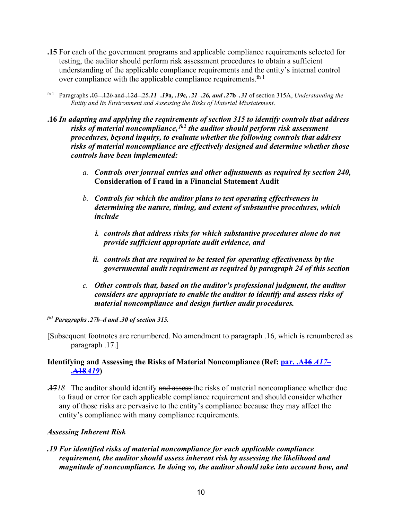- <span id="page-9-0"></span>**.15** For each of the government programs and applicable compliance requirements selected for testing, the auditor should perform risk assessment procedures to obtain a sufficient understanding of the applicable compliance requirements and the entity's internal control over compliance with the applicable compliance requirements.<sup>fn 1</sup>
- fn 1 Paragraphs *.*03–.12*b* and .12d–.25*.11*–**.***19***a***, .19***c***, .21–.26, and .27***b***–.31* of section 315A, *Understanding the Entity and Its Environment and Assessing the Risks of Material Misstatement*.
- **.16** *In adapting and applying the requirements of section 315 to identify controls that address risks of material noncompliance, fn2 the auditor should perform risk assessment procedures, beyond inquiry, to evaluate whether the following controls that address risks of material noncompliance are effectively designed and determine whether those controls have been implemented:*
	- *a. Controls over journal entries and other adjustments as required by section 240,*  **Consideration of Fraud in a Financial Statement Audit**
	- *b. Controls for which the auditor plans to test operating effectiveness in determining the nature, timing, and extent of substantive procedures, which include* 
		- *i. controls that address risks for which substantive procedures alone do not provide sufficient appropriate audit evidence, and*
		- *ii. controls that are required to be tested for operating effectiveness by the governmental audit requirement as required by paragraph 24 of this section*
	- *c. Other controls that, based on the auditor's professional judgment, the auditor considers are appropriate to enable the auditor to identify and assess risks of material noncompliance and design further audit procedures.*

### *fn2 Paragraphs .27b–d and .30 of section 315.*

[Subsequent footnotes are renumbered. No amendment to paragraph .16, which is renumbered as paragraph .17.]

### <span id="page-9-1"></span>**Identifying and Assessing the Risks of Material Noncompliance (Ref: par. .A16** *A17***– .A18***A19***)**

**.17***18* The auditor should identify and assess the risks of material noncompliance whether due to fraud or error for each applicable compliance requirement and should consider whether any of those risks are pervasive to the entity's compliance because they may affect the entity's compliance with many compliance requirements.

### *Assessing Inherent Risk*

*.19 For identified risks of material noncompliance for each applicable compliance requirement, the auditor should assess inherent risk by assessing the likelihood and magnitude of noncompliance. In doing so, the auditor should take into account how, and*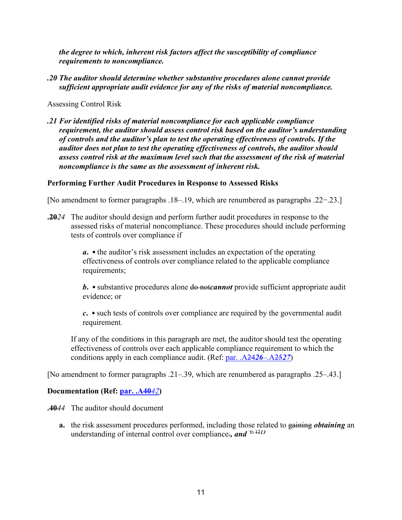*the degree to which, inherent risk factors affect the susceptibility of compliance requirements to noncompliance.* 

*.20 The auditor should determine whether substantive procedures alone cannot provide sufficient appropriate audit evidence for any of the risks of material noncompliance.* 

### Assessing Control Risk

*.21 For identified risks of material noncompliance for each applicable compliance requirement, the auditor should assess control risk based on the auditor's understanding of controls and the auditor's plan to test the operating effectiveness of controls. If the auditor does not plan to test the operating effectiveness of controls, the auditor should assess control risk at the maximum level such that the assessment of the risk of material noncompliance is the same as the assessment of inherent risk.* 

### **Performing Further Audit Procedures in Response to Assessed Risks**

[No amendment to former paragraphs .18–.19, which are renumbered as paragraphs .22−.23.]

**.20***24* The auditor should design and perform further audit procedures in response to the assessed risks of material noncompliance. These procedures should include performing tests of controls over compliance if

> *a***. •** the auditor's risk assessment includes an expectation of the operating effectiveness of controls over compliance related to the applicable compliance requirements;

*b*. • substantive procedures alone <del>do notcannot</del> provide sufficient appropriate audit evidence; or

*c***. •** such tests of controls over compliance are required by the governmental audit requirement.

If any of the conditions in this paragraph are met, the auditor should test the operating effectiveness of controls over each applicable compliance requirement to which the conditions apply in each compliance audit. (Ref: [par. .A24](#page-13-1)*26*–.A25*27*)

[No amendment to former paragraphs .21–.39, which are renumbered as paragraphs .25–.43.]

### **Documentation (Ref: par. .A40***42***)**

**.40***44* The auditor should document

**a.** the risk assessment procedures performed, including those related to gaining *obtaining* an understanding of internal control over compliance., and  $\ln \frac{1213}{2}$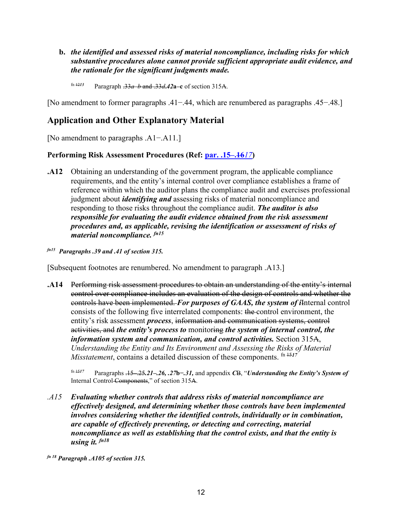- **b.** *the identified and assessed risks of material noncompliance, including risks for which substantive procedures alone cannot provide sufficient appropriate audit evidence, and the rationale for the significant judgments made.*
	- fn 12*<sup>13</sup>* Paragraph .33*a*–*b* and .33*d***.***42***a***–***c** of section 315A.

[No amendment to former paragraphs .41−.44, which are renumbered as paragraphs .45−.48.]

### **Application and Other Explanatory Material**

[No amendment to paragraphs .A1−.A11.]

### **Performing Risk Assessment Procedures (Ref: [par. .15–.16](#page-9-0)***17***)**

- **.A12** Obtaining an understanding of the government program, the applicable compliance requirements, and the entity's internal control over compliance establishes a frame of reference within which the auditor plans the compliance audit and exercises professional judgment about *identifying and* assessing risks of material noncompliance and responding to those risks throughout the compliance audit. *The auditor is also responsible for evaluating the audit evidence obtained from the risk assessment procedures and, as applicable, revising the identification or assessment of risks of material noncompliance. fn15*
- *fn15 Paragraphs .39 and .41 of section 315.*

[Subsequent footnotes are renumbered. No amendment to paragraph .A13.]

**.A14** Performing risk assessment procedures to obtain an understanding of the entity's internal control over compliance includes an evaluation of the design of controls and whether the controls have been implemented. *For purposes of GAAS, the system of i*Internal control consists of the following five interrelated components: the control environment, the entity's risk assessment *process*, information and communication systems, control activities, and *the entity's process to* monitoring *the system of internal control, the information system and communication, and control activities.* Section 315A, *Understanding the Entity and Its Environment and Assessing the Risks of Material Misstatement*, contains a detailed discussion of these components.  $\frac{fn}{1517}$ 

fn 15*<sup>17</sup>* Paragraphs .15–.25*.21–.26, .27***b***−.31,* and appendix *C*B, "*Understanding the Entity's System of*  Internal Control Components," of section 315A.

*.A15 Evaluating whether controls that address risks of material noncompliance are effectively designed, and determining whether those controls have been implemented involves considering whether the identified controls, individually or in combination, are capable of effectively preventing, or detecting and correcting, material noncompliance as well as establishing that the control exists, and that the entity is using it. fn18*

*fn 18 Paragraph .A105 of section 315.*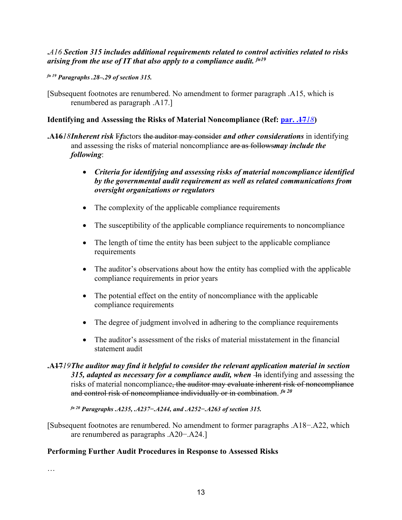**.***A16 Section 315 includes additional requirements related to control activities related to risks arising from the use of IT that also apply to a compliance audit. fn19*

*fn 19 Paragraphs .28–.29 of section 315.*

[Subsequent footnotes are renumbered. No amendment to former paragraph .A15, which is renumbered as paragraph .A17.]

### **Identifying and Assessing the Risks of Material Noncompliance (Ref: [par. .17](#page-9-1)***18***)**

- **.A16***18Inherent risk* F*f*actors the auditor may consider *and other considerations* in identifying and assessing the risks of material noncompliance are as follows*may include the following*:
	- *Criteria for identifying and assessing risks of material noncompliance identified by the governmental audit requirement as well as related communications from oversight organizations or regulators*
	- The complexity of the applicable compliance requirements
	- The susceptibility of the applicable compliance requirements to noncompliance
	- The length of time the entity has been subject to the applicable compliance requirements
	- The auditor's observations about how the entity has complied with the applicable compliance requirements in prior years
	- The potential effect on the entity of noncompliance with the applicable compliance requirements
	- The degree of judgment involved in adhering to the compliance requirements
	- The auditor's assessment of the risks of material misstatement in the financial statement audit
- **.A17***19The auditor may find it helpful to consider the relevant application material in section*  315, adapted as necessary for a compliance audit, when <del>In</del> identifying and assessing the risks of material noncompliance, the auditor may evaluate inherent risk of noncompliance and control risk of noncompliance individually or in combination. *fn <sup>20</sup>*

*fn 20 Paragraphs .A235, .A237−.A244, and .A252−.A263 of section 315.* 

[Subsequent footnotes are renumbered. No amendment to former paragraphs .A18−.A22, which are renumbered as paragraphs .A20−.A24.]

### **Performing Further Audit Procedures in Response to Assessed Risks**

…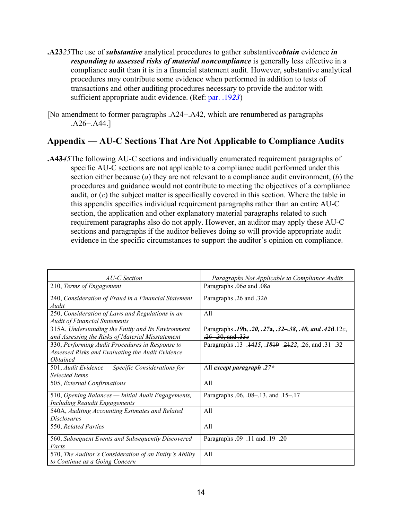- **.A23***25*The use of *substantive* analytical procedures to gather substantive*obtain* evidence *in responding to assessed risks of material noncompliance* is generally less effective in a compliance audit than it is in a financial statement audit. However, substantive analytical procedures may contribute some evidence when performed in addition to tests of transactions and other auditing procedures necessary to provide the auditor with sufficient appropriate audit evidence. (Ref: par. .19*23*)
- <span id="page-13-1"></span>[No amendment to former paragraphs .A24−.A42, which are renumbered as paragraphs .A26−.A44.]

## <span id="page-13-0"></span>**Appendix — AU-C Sections That Are Not Applicable to Compliance Audits**

**.A43***45*The following AU-C sections and individually enumerated requirement paragraphs of specific AU-C sections are not applicable to a compliance audit performed under this section either because (*a*) they are not relevant to a compliance audit environment, (*b*) the procedures and guidance would not contribute to meeting the objectives of a compliance audit, or (*c*) the subject matter is specifically covered in this section. Where the table in this appendix specifies individual requirement paragraphs rather than an entire AU-C section, the application and other explanatory material paragraphs related to such requirement paragraphs also do not apply. However, an auditor may apply these AU-C sections and paragraphs if the auditor believes doing so will provide appropriate audit evidence in the specific circumstances to support the auditor's opinion on compliance.

| AU-C Section                                                                                                                  | Paragraphs Not Applicable to Compliance Audits                                      |
|-------------------------------------------------------------------------------------------------------------------------------|-------------------------------------------------------------------------------------|
| 210, Terms of Engagement                                                                                                      | Paragraphs .06a and .08a                                                            |
| 240, Consideration of Fraud in a Financial Statement<br>Audit                                                                 | Paragraphs .26 and .32b                                                             |
| 250, Consideration of Laws and Regulations in an<br><b>Audit of Financial Statements</b>                                      | A11                                                                                 |
| 315A, Understanding the Entity and Its Environment<br>and Assessing the Risks of Material Misstatement                        | Paragraphs .19b, .20, .27a, .32–.38, .40, and .42d.12e,<br>$.26$ $.30$ , and $.33e$ |
| 330, Performing Audit Procedures in Response to<br>Assessed Risks and Evaluating the Audit Evidence<br><i><b>Obtained</b></i> | Paragraphs .13-.4415, .1849-.2422, .26, and .31-.32                                 |
| 501, Audit Evidence - Specific Considerations for<br><b>Selected Items</b>                                                    | All except paragraph .27*                                                           |
| 505, External Confirmations                                                                                                   | All                                                                                 |
| 510, Opening Balances — Initial Audit Engagements,<br><b>Including Reaudit Engagements</b>                                    | Paragraphs .06, .08–.13, and .15–.17                                                |
| 540A, Auditing Accounting Estimates and Related<br><i>Disclosures</i>                                                         | All                                                                                 |
| 550, Related Parties                                                                                                          | All                                                                                 |
| 560, Subsequent Events and Subsequently Discovered<br>Facts                                                                   | Paragraphs .09-.11 and .19-.20                                                      |
| 570, The Auditor's Consideration of an Entity's Ability<br>to Continue as a Going Concern                                     | All                                                                                 |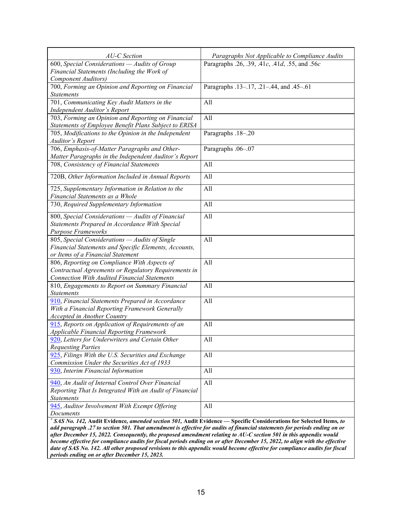| AU-C Section                                                                                                                                                                                                                                              | Paragraphs Not Applicable to Compliance Audits |  |  |  |  |  |
|-----------------------------------------------------------------------------------------------------------------------------------------------------------------------------------------------------------------------------------------------------------|------------------------------------------------|--|--|--|--|--|
| 600, Special Considerations - Audits of Group                                                                                                                                                                                                             | Paragraphs .26, .39, .41c, .41d, .55, and .56c |  |  |  |  |  |
| Financial Statements (Including the Work of                                                                                                                                                                                                               |                                                |  |  |  |  |  |
| Component Auditors)                                                                                                                                                                                                                                       |                                                |  |  |  |  |  |
| 700, Forming an Opinion and Reporting on Financial                                                                                                                                                                                                        | Paragraphs .13-.17, .21-.44, and .45-.61       |  |  |  |  |  |
| <b>Statements</b>                                                                                                                                                                                                                                         |                                                |  |  |  |  |  |
| 701, Communicating Key Audit Matters in the                                                                                                                                                                                                               | All                                            |  |  |  |  |  |
| Independent Auditor's Report                                                                                                                                                                                                                              |                                                |  |  |  |  |  |
| 703, Forming an Opinion and Reporting on Financial                                                                                                                                                                                                        | All                                            |  |  |  |  |  |
| Statements of Employee Benefit Plans Subject to ERISA                                                                                                                                                                                                     |                                                |  |  |  |  |  |
| 705, Modifications to the Opinion in the Independent                                                                                                                                                                                                      | Paragraphs .18-.20                             |  |  |  |  |  |
| <b>Auditor's Report</b>                                                                                                                                                                                                                                   |                                                |  |  |  |  |  |
| 706, Emphasis-of-Matter Paragraphs and Other-                                                                                                                                                                                                             | Paragraphs .06-.07                             |  |  |  |  |  |
| Matter Paragraphs in the Independent Auditor's Report                                                                                                                                                                                                     |                                                |  |  |  |  |  |
| 708, Consistency of Financial Statements                                                                                                                                                                                                                  | All                                            |  |  |  |  |  |
| 720B, Other Information Included in Annual Reports                                                                                                                                                                                                        | All                                            |  |  |  |  |  |
| 725, Supplementary Information in Relation to the                                                                                                                                                                                                         | All                                            |  |  |  |  |  |
| Financial Statements as a Whole                                                                                                                                                                                                                           |                                                |  |  |  |  |  |
| 730, Required Supplementary Information                                                                                                                                                                                                                   | All                                            |  |  |  |  |  |
| 800, Special Considerations - Audits of Financial                                                                                                                                                                                                         | All                                            |  |  |  |  |  |
| Statements Prepared in Accordance With Special                                                                                                                                                                                                            |                                                |  |  |  |  |  |
| Purpose Frameworks                                                                                                                                                                                                                                        |                                                |  |  |  |  |  |
| 805, Special Considerations - Audits of Single                                                                                                                                                                                                            | All                                            |  |  |  |  |  |
| Financial Statements and Specific Elements, Accounts,                                                                                                                                                                                                     |                                                |  |  |  |  |  |
| or Items of a Financial Statement                                                                                                                                                                                                                         |                                                |  |  |  |  |  |
| 806, Reporting on Compliance With Aspects of                                                                                                                                                                                                              | All                                            |  |  |  |  |  |
| Contractual Agreements or Regulatory Requirements in                                                                                                                                                                                                      |                                                |  |  |  |  |  |
| <b>Connection With Audited Financial Statements</b>                                                                                                                                                                                                       |                                                |  |  |  |  |  |
| 810, Engagements to Report on Summary Financial                                                                                                                                                                                                           | All                                            |  |  |  |  |  |
| <b>Statements</b>                                                                                                                                                                                                                                         |                                                |  |  |  |  |  |
| 910, Financial Statements Prepared in Accordance                                                                                                                                                                                                          | All                                            |  |  |  |  |  |
| With a Financial Reporting Framework Generally                                                                                                                                                                                                            |                                                |  |  |  |  |  |
| Accepted in Another Country                                                                                                                                                                                                                               |                                                |  |  |  |  |  |
| 915, Reports on Application of Requirements of an                                                                                                                                                                                                         | All                                            |  |  |  |  |  |
| <b>Applicable Financial Reporting Framework</b>                                                                                                                                                                                                           |                                                |  |  |  |  |  |
| 920, Letters for Underwriters and Certain Other                                                                                                                                                                                                           | All                                            |  |  |  |  |  |
| <b>Requesting Parties</b>                                                                                                                                                                                                                                 |                                                |  |  |  |  |  |
| 925, Filings With the U.S. Securities and Exchange                                                                                                                                                                                                        | All                                            |  |  |  |  |  |
| Commission Under the Securities Act of 1933                                                                                                                                                                                                               |                                                |  |  |  |  |  |
| 930, Interim Financial Information                                                                                                                                                                                                                        | All                                            |  |  |  |  |  |
| 940, An Audit of Internal Control Over Financial                                                                                                                                                                                                          | All                                            |  |  |  |  |  |
| Reporting That Is Integrated With an Audit of Financial                                                                                                                                                                                                   |                                                |  |  |  |  |  |
| <b>Statements</b>                                                                                                                                                                                                                                         |                                                |  |  |  |  |  |
| 945, Auditor Involvement With Exempt Offering                                                                                                                                                                                                             | All                                            |  |  |  |  |  |
| Documents                                                                                                                                                                                                                                                 |                                                |  |  |  |  |  |
| * SAS No. 142, Audit Evidence, amended section 501, Audit Evidence - Specific Considerations for Selected Items, to                                                                                                                                       |                                                |  |  |  |  |  |
| add paragraph .27 to section 501. That amendment is effective for audits of financial statements for periods ending on or                                                                                                                                 |                                                |  |  |  |  |  |
| after December 15, 2022. Consequently, the proposed amendment relating to AU-C section 501 in this appendix would                                                                                                                                         |                                                |  |  |  |  |  |
| become effective for compliance audits for fiscal periods ending on or after December 15, 2022, to align with the effective<br>date of SAS No. 142. All other proposed revisions to this appendix would become effective for compliance audits for fiscal |                                                |  |  |  |  |  |
|                                                                                                                                                                                                                                                           |                                                |  |  |  |  |  |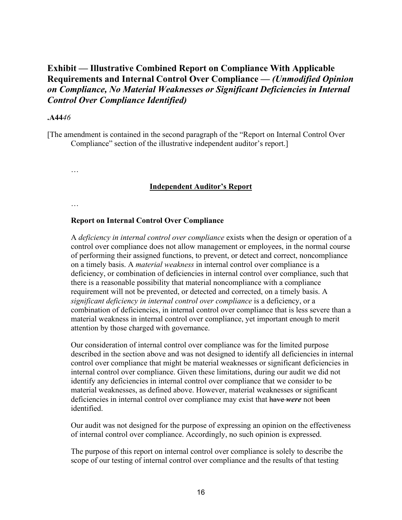## **Exhibit — Illustrative Combined Report on Compliance With Applicable Requirements and Internal Control Over Compliance —** *(Unmodified Opinion on Compliance, No Material Weaknesses or Significant Deficiencies in Internal Control Over Compliance Identified)*

#### **.A44***46*

[The amendment is contained in the second paragraph of the "Report on Internal Control Over Compliance" section of the illustrative independent auditor's report.]

…

#### **Independent Auditor's Report**

…

#### **Report on Internal Control Over Compliance**

A *deficiency in internal control over compliance* exists when the design or operation of a control over compliance does not allow management or employees, in the normal course of performing their assigned functions, to prevent, or detect and correct, noncompliance on a timely basis. A *material weakness* in internal control over compliance is a deficiency, or combination of deficiencies in internal control over compliance, such that there is a reasonable possibility that material noncompliance with a compliance requirement will not be prevented, or detected and corrected, on a timely basis. A *significant deficiency in internal control over compliance* is a deficiency, or a combination of deficiencies, in internal control over compliance that is less severe than a material weakness in internal control over compliance, yet important enough to merit attention by those charged with governance.

Our consideration of internal control over compliance was for the limited purpose described in the section above and was not designed to identify all deficiencies in internal control over compliance that might be material weaknesses or significant deficiencies in internal control over compliance. Given these limitations, during our audit we did not identify any deficiencies in internal control over compliance that we consider to be material weaknesses, as defined above. However, material weaknesses or significant deficiencies in internal control over compliance may exist that have *were* not been identified.

Our audit was not designed for the purpose of expressing an opinion on the effectiveness of internal control over compliance. Accordingly, no such opinion is expressed.

The purpose of this report on internal control over compliance is solely to describe the scope of our testing of internal control over compliance and the results of that testing